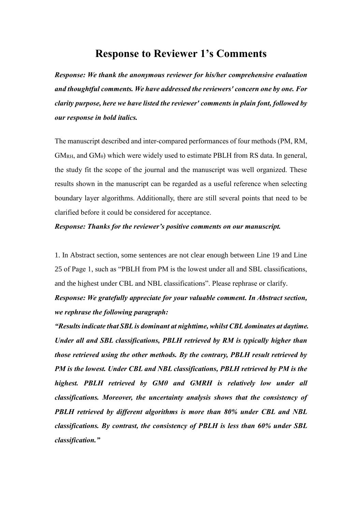## **Response to Reviewer 1's Comments**

*Response: We thank the anonymous reviewer for his/her comprehensive evaluation and thoughtful comments. We have addressed the reviewers' concern one by one. For clarity purpose, here we have listed the reviewer' comments in plain font, followed by our response in bold italics.*

The manuscript described and inter-compared performances of four methods (PM, RM,  $GM<sub>RH</sub>$ , and  $GM<sub>θ</sub>$ ) which were widely used to estimate PBLH from RS data. In general, the study fit the scope of the journal and the manuscript was well organized. These results shown in the manuscript can be regarded as a useful reference when selecting boundary layer algorithms. Additionally, there are still several points that need to be clarified before it could be considered for acceptance.

## *Response: Thanks for the reviewer's positive comments on our manuscript.*

1. In Abstract section, some sentences are not clear enough between Line 19 and Line 25 of Page 1, such as "PBLH from PM is the lowest under all and SBL classifications, and the highest under CBL and NBL classifications". Please rephrase or clarify. *Response: We gratefully appreciate for your valuable comment. In Abstract section, we rephrase the following paragraph:*

*"Results indicate that SBL is dominant at nighttime, whilst CBL dominates at daytime. Under all and SBL classifications, PBLH retrieved by RM is typically higher than those retrieved using the other methods. By the contrary, PBLH result retrieved by PM is the lowest. Under CBL and NBL classifications, PBLH retrieved by PM is the highest. PBLH retrieved by GMθ and GMRH is relatively low under all classifications. Moreover, the uncertainty analysis shows that the consistency of PBLH retrieved by different algorithms is more than 80% under CBL and NBL classifications. By contrast, the consistency of PBLH is less than 60% under SBL classification."*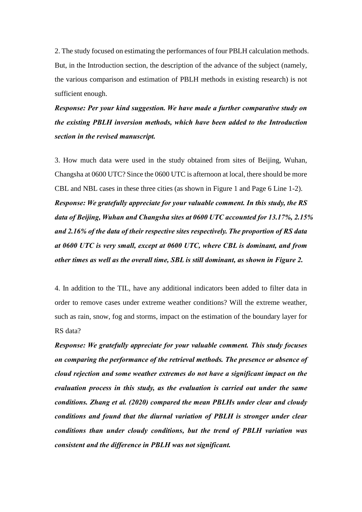2. The study focused on estimating the performances of four PBLH calculation methods. But, in the Introduction section, the description of the advance of the subject (namely, the various comparison and estimation of PBLH methods in existing research) is not sufficient enough.

*Response: Per your kind suggestion. We have made a further comparative study on the existing PBLH inversion methods, which have been added to the Introduction section in the revised manuscript.*

3. How much data were used in the study obtained from sites of Beijing, Wuhan, Changsha at 0600 UTC? Since the 0600 UTC is afternoon at local, there should be more CBL and NBL cases in these three cities (as shown in Figure 1 and Page 6 Line 1-2). *Response: We gratefully appreciate for your valuable comment. In this study, the RS data of Beijing, Wuhan and Changsha sites at 0600 UTC accounted for 13.17%, 2.15% and 2.16% of the data of their respective sites respectively. The proportion of RS data at 0600 UTC is very small, except at 0600 UTC, where CBL is dominant, and from other times as well as the overall time, SBL is still dominant, as shown in Figure 2.*

4. In addition to the TIL, have any additional indicators been added to filter data in order to remove cases under extreme weather conditions? Will the extreme weather, such as rain, snow, fog and storms, impact on the estimation of the boundary layer for RS data?

*Response: We gratefully appreciate for your valuable comment. This study focuses on comparing the performance of the retrieval methods. The presence or absence of cloud rejection and some weather extremes do not have a significant impact on the evaluation process in this study, as the evaluation is carried out under the same conditions. Zhang et al. (2020) compared the mean PBLHs under clear and cloudy conditions and found that the diurnal variation of PBLH is stronger under clear conditions than under cloudy conditions, but the trend of PBLH variation was consistent and the difference in PBLH was not significant.*